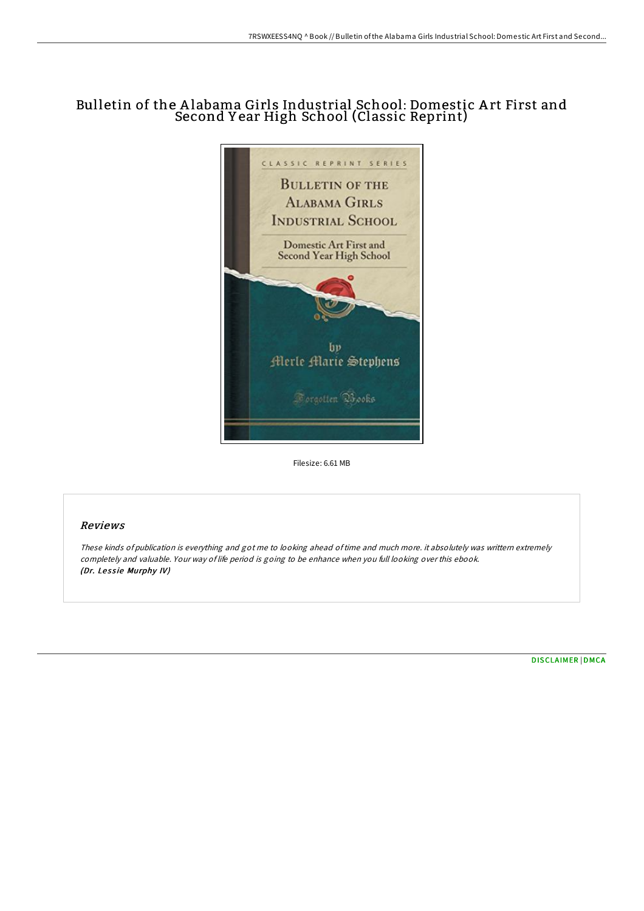## Bulletin of the Alabama Girls Industrial School: Domestic Art First and Second Y ear High School (Classic Reprint)



Filesize: 6.61 MB

## Reviews

These kinds of publication is everything and got me to looking ahead oftime and much more. it absolutely was writtern extremely completely and valuable. Your way of life period is going to be enhance when you full looking over this ebook. (Dr. Lessie Murphy IV)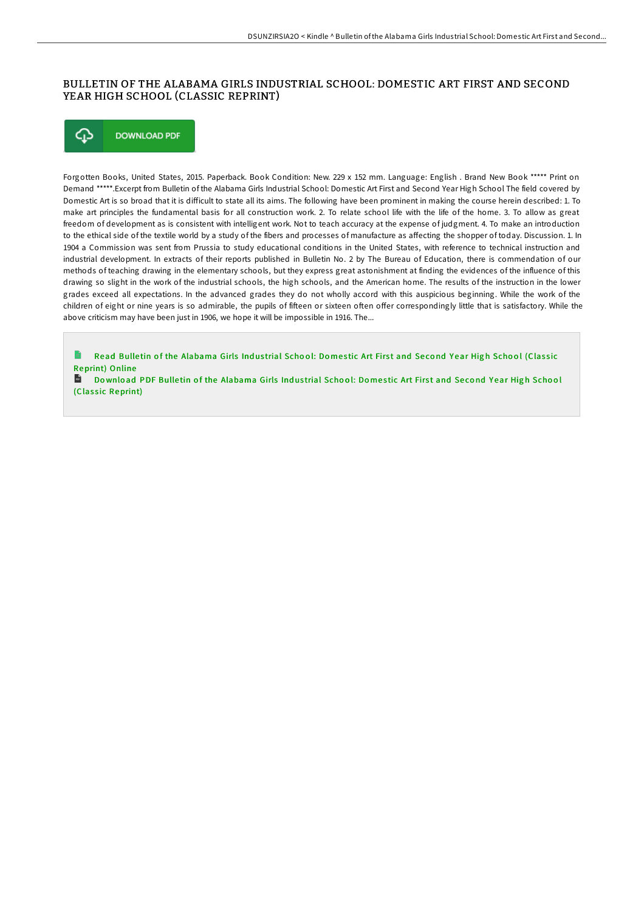## BULLETIN OF THE ALABAMA GIRLS INDUSTRIAL SCHOOL: DOMESTIC ART FIRST AND SECOND YEAR HIGH SCHOOL (CLASSIC REPRINT)



Forgotten Books, United States, 2015. Paperback. Book Condition: New. 229 x 152 mm. Language: English . Brand New Book \*\*\*\*\* Print on Demand \*\*\*\*\*.Excerpt from Bulletin of the Alabama Girls Industrial School: Domestic Art First and Second Year High School The field covered by Domestic Art is so broad that it is difficult to state all its aims. The following have been prominent in making the course herein described: 1. To make art principles the fundamental basis for all construction work. 2. To relate school life with the life of the home. 3. To allow as great freedom of development as is consistent with intelligent work. Not to teach accuracy at the expense of judgment. 4. To make an introduction to the ethical side of the textile world by a study of the fibers and processes of manufacture as affecting the shopper of today. Discussion. 1. In 1904 a Commission was sent from Prussia to study educational conditions in the United States, with reference to technical instruction and industrial development. In extracts of their reports published in Bulletin No. 2 by The Bureau of Education, there is commendation of our methods of teaching drawing in the elementary schools, but they express great astonishment at finding the evidences of the influence of this drawing so slight in the work of the industrial schools, the high schools, and the American home. The results of the instruction in the lower grades exceed all expectations. In the advanced grades they do not wholly accord with this auspicious beginning. While the work of the children of eight or nine years is so admirable, the pupils of fifteen or sixteen often offer correspondingly little that is satisfactory. While the above criticism may have been just in 1906, we hope it will be impossible in 1916. The...

Read Bulletin of the [Alabama](http://almighty24.tech/bulletin-of-the-alabama-girls-industrial-school-.html) Girls Industrial School: Domestic Art First and Second Year High School (Classic Reprint) Online

 $R$ Download PDF Bulletin of the [Alabama](http://almighty24.tech/bulletin-of-the-alabama-girls-industrial-school-.html) Girls Industrial School: Domestic Art First and Second Year High School (Classic Reprint)